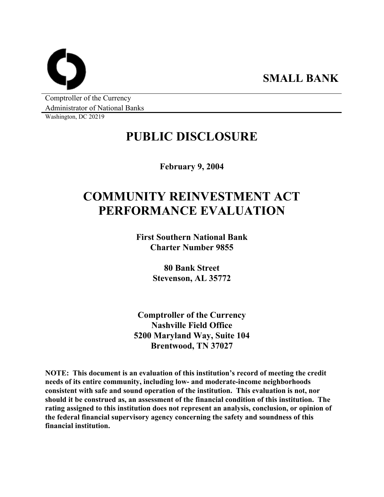**SMALL BANK** 

Comptroller of the Currency Administrator of National Banks

Washington, DC 20219

# **PUBLIC DISCLOSURE**

**February 9, 2004** 

# **COMMUNITY REINVESTMENT ACT PERFORMANCE EVALUATION**

**First Southern National Bank Charter Number 9855** 

> **80 Bank Street Stevenson, AL 35772**

**Comptroller of the Currency Nashville Field Office 5200 Maryland Way, Suite 104 Brentwood, TN 37027** 

**NOTE: This document is an evaluation of this institution's record of meeting the credit needs of its entire community, including low- and moderate-income neighborhoods consistent with safe and sound operation of the institution. This evaluation is not, nor should it be construed as, an assessment of the financial condition of this institution. The rating assigned to this institution does not represent an analysis, conclusion, or opinion of the federal financial supervisory agency concerning the safety and soundness of this financial institution.**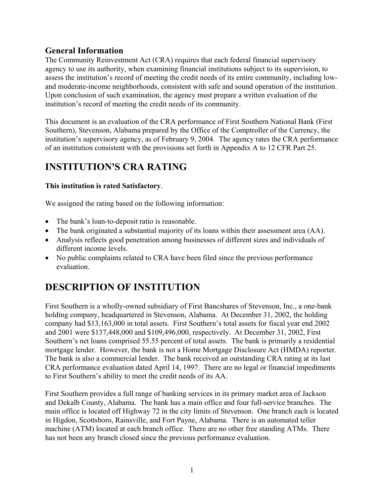## **General Information**

The Community Reinvestment Act (CRA) requires that each federal financial supervisory agency to use its authority, when examining financial institutions subject to its supervision, to assess the institution's record of meeting the credit needs of its entire community, including lowand moderate-income neighborhoods, consistent with safe and sound operation of the institution. Upon conclusion of such examination, the agency must prepare a written evaluation of the institution's record of meeting the credit needs of its community.

This document is an evaluation of the CRA performance of First Southern National Bank (First Southern), Stevenson, Alabama prepared by the Office of the Comptroller of the Currency, the institution's supervisory agency, as of February 9, 2004. The agency rates the CRA performance of an institution consistent with the provisions set forth in Appendix A to 12 CFR Part 25.

# **INSTITUTION'S CRA RATING**

## **This institution is rated Satisfactory**.

We assigned the rating based on the following information:

- The bank's loan-to-deposit ratio is reasonable.
- The bank originated a substantial majority of its loans within their assessment area (AA).
- Analysis reflects good penetration among businesses of different sizes and individuals of different income levels.
- No public complaints related to CRA have been filed since the previous performance evaluation.

# **DESCRIPTION OF INSTITUTION**

First Southern is a wholly-owned subsidiary of First Bancshares of Stevenson, Inc., a one-bank holding company, headquartered in Stevenson, Alabama. At December 31, 2002, the holding company had \$13,163,000 in total assets. First Southern's total assets for fiscal year end 2002 and 2001 were \$137,448,000 and \$109,496,000, respectively. At December 31, 2002, First Southern's net loans comprised 55.55 percent of total assets. The bank is primarily a residential mortgage lender. However, the bank is not a Home Mortgage Disclosure Act (HMDA) reporter. The bank is also a commercial lender. The bank received an outstanding CRA rating at its last CRA performance evaluation dated April 14, 1997. There are no legal or financial impediments to First Southern's ability to meet the credit needs of its AA.

First Southern provides a full range of banking services in its primary market area of Jackson and Dekalb County, Alabama. The bank has a main office and four full-service branches. The main office is located off Highway 72 in the city limits of Stevenson. One branch each is located in Higdon, Scottsboro, Rainsville, and Fort Payne, Alabama. There is an automated teller machine (ATM) located at each branch office. There are no other free standing ATMs. There has not been any branch closed since the previous performance evaluation.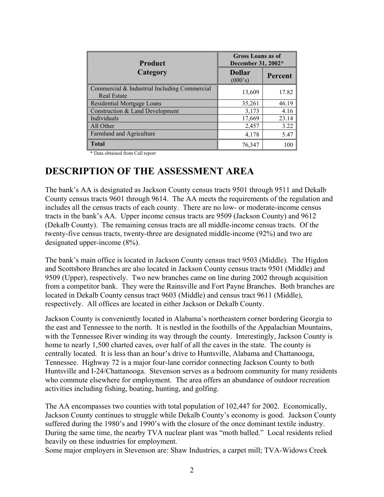| <b>Product</b>                                                     | <b>Gross Loans as of</b><br>December 31, 2002* |         |  |  |
|--------------------------------------------------------------------|------------------------------------------------|---------|--|--|
| Category                                                           | <b>Dollar</b><br>(000's)                       | Percent |  |  |
| Commercial & Industrial Including Commercial<br><b>Real Estate</b> | 13,609                                         | 17.82   |  |  |
| Residential Mortgage Loans                                         | 35,261                                         | 46.19   |  |  |
| Construction & Land Development                                    | 3,173                                          | 4.16    |  |  |
| Individuals                                                        | 17,669                                         | 23.14   |  |  |
| All Other                                                          | 2,457                                          | 3.22    |  |  |
| Farmland and Agriculture                                           | 4,178                                          | 5.47    |  |  |
| <b>Total</b>                                                       | 76,347                                         | 100     |  |  |

\* Data obtained from Call report

# **DESCRIPTION OF THE ASSESSMENT AREA**

The bank's AA is designated as Jackson County census tracts 9501 through 9511 and Dekalb County census tracts 9601 through 9614. The AA meets the requirements of the regulation and includes all the census tracts of each county. There are no low- or moderate-income census tracts in the bank's AA. Upper income census tracts are 9509 (Jackson County) and 9612 (Dekalb County). The remaining census tracts are all middle-income census tracts. Of the twenty-five census tracts, twenty-three are designated middle-income (92%) and two are designated upper-income (8%).

The bank's main office is located in Jackson County census tract 9503 (Middle). The Higdon and Scottsboro Branches are also located in Jackson County census tracts 9501 (Middle) and 9509 (Upper), respectively. Two new branches came on line during 2002 through acquisition from a competitor bank. They were the Rainsville and Fort Payne Branches. Both branches are located in Dekalb County census tract 9603 (Middle) and census tract 9611 (Middle), respectively. All offices are located in either Jackson or Dekalb County.

Jackson County is conveniently located in Alabama's northeastern corner bordering Georgia to the east and Tennessee to the north. It is nestled in the foothills of the Appalachian Mountains, with the Tennessee River winding its way through the county. Interestingly, Jackson County is home to nearly 1,500 charted caves, over half of all the caves in the state. The county is centrally located. It is less than an hour's drive to Huntsville, Alabama and Chattanooga, Tennessee. Highway 72 is a major four-lane corridor connecting Jackson County to both Huntsville and I-24/Chattanooga. Stevenson serves as a bedroom community for many residents who commute elsewhere for employment. The area offers an abundance of outdoor recreation activities including fishing, boating, hunting, and golfing.

The AA encompasses two counties with total population of 102,447 for 2002. Economically, Jackson County continues to struggle while Dekalb County's economy is good. Jackson County suffered during the 1980's and 1990's with the closure of the once dominant textile industry. During the same time, the nearby TVA nuclear plant was "moth balled." Local residents relied heavily on these industries for employment.

Some major employers in Stevenson are: Shaw Industries, a carpet mill; TVA-Widows Creek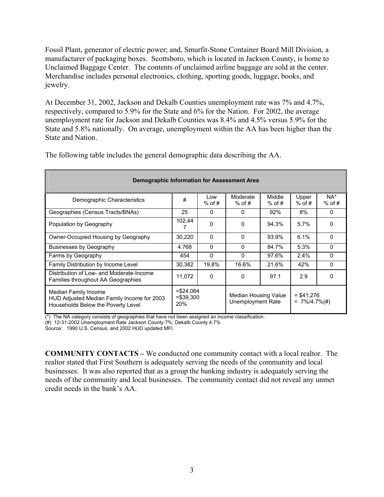Fossil Plant, generator of electric power; and, Smurfit-Stone Container Board Mill Division, a manufacturer of packaging boxes. Scottsboro, which is located in Jackson County, is home to Unclaimed Baggage Center. The contents of unclaimed airline baggage are sold at the center. Merchandise includes personal electronics, clothing, sporting goods, luggage, books, and jewelry.

At December 31, 2002, Jackson and Dekalb Counties unemployment rate was 7% and 4.7%, respectively, compared to 5.9% for the State and 6% for the Nation. For 2002, the average unemployment rate for Jackson and Dekalb Counties was 8.4% and 4.5% versus 5.9% for the State and 5.8% nationally. On average, unemployment within the AA has been higher than the State and Nation.

| Demographic Information for Assessment Area                                                              |                                   |                 |                                           |                    |                                  |                    |  |  |  |  |  |
|----------------------------------------------------------------------------------------------------------|-----------------------------------|-----------------|-------------------------------------------|--------------------|----------------------------------|--------------------|--|--|--|--|--|
| Demographic Characteristics                                                                              | #                                 | Low<br>$%$ of # | Moderate<br>$%$ of #                      | Middle<br>$%$ of # | Upper<br>$%$ of #                | $NA^*$<br>$%$ of # |  |  |  |  |  |
| Geographies (Census Tracts/BNAs)                                                                         | 25                                | $\Omega$        | 0                                         | 92%                | 8%                               | 0                  |  |  |  |  |  |
| Population by Geography                                                                                  | 102,44                            | $\Omega$        | 0                                         | 94.3%              | 5.7%                             | 0                  |  |  |  |  |  |
| Owner-Occupied Housing by Geography                                                                      | 30.220                            | $\Omega$        | $\Omega$                                  | 93.9%              | 6.1%                             | 0                  |  |  |  |  |  |
| <b>Businesses by Geography</b>                                                                           | 4.768                             | $\Omega$        | 0                                         | 84.7%              | 5.3%                             | 0                  |  |  |  |  |  |
| Farms by Geography                                                                                       | 454                               | $\Omega$        | 0                                         | 97.6%              | 2.4%                             | 0                  |  |  |  |  |  |
| Family Distribution by Income Level                                                                      | 30,382                            | 19.8%           | 16.6%                                     | 21.6%              | 42%                              | 0                  |  |  |  |  |  |
| Distribution of Low- and Moderate-Income<br>Families throughout AA Geographies                           | 11,072<br>0                       |                 | 0                                         | 97.1               | 2.9                              | 0                  |  |  |  |  |  |
| Median Family Income<br>HUD Adjusted Median Family Income for 2003<br>Households Below the Poverty Level | $= $24.084$<br>$= $39,300$<br>20% |                 | Median Housing Value<br>Unemployment Rate |                    | $=$ \$41,276<br>$= 7\%/4.7\%(#)$ |                    |  |  |  |  |  |

The following table includes the general demographic data describing the AA.

(\*) The NA category consists of geographies that have not been assigned an income classification.

(#) 12-31-2002 Unemployment Rate Jackson County 7%; Dekalb County 4.7%

Source: 1990 U.S. Census, and 2002 HUD updated MFI.

**COMMUNITY CONTACTS –** We conducted one community contact with a local realtor. The realtor stated that First Southern is adequately serving the needs of the community and local businesses. It was also reported that as a group the banking industry is adequately serving the needs of the community and local businesses. The community contact did not reveal any unmet credit needs in the bank's AA.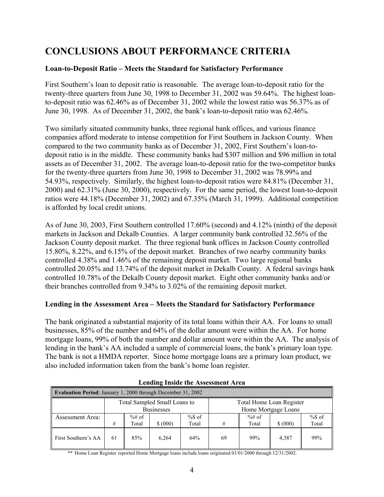# **CONCLUSIONS ABOUT PERFORMANCE CRITERIA**

## **Loan-to-Deposit Ratio – Meets the Standard for Satisfactory Performance**

First Southern's loan to deposit ratio is reasonable. The average loan-to-deposit ratio for the twenty-three quarters from June 30, 1998 to December 31, 2002 was 59.64%. The highest loanto-deposit ratio was 62.46% as of December 31, 2002 while the lowest ratio was 56.37% as of June 30, 1998. As of December 31, 2002, the bank's loan-to-deposit ratio was 62.46%.

Two similarly situated community banks, three regional bank offices, and various finance companies afford moderate to intense competition for First Southern in Jackson County. When compared to the two community banks as of December 31, 2002, First Southern's loan-todeposit ratio is in the middle. These community banks had \$307 million and \$96 million in total assets as of December 31, 2002. The average loan-to-deposit ratio for the two-competitor banks for the twenty-three quarters from June 30, 1998 to December 31, 2002 was 78.99% and 54.93%, respectively. Similarly, the highest loan-to-deposit ratios were 84.81% (December 31, 2000) and 62.31% (June 30, 2000), respectively. For the same period, the lowest loan-to-deposit ratios were 44.18% (December 31, 2002) and 67.35% (March 31, 1999). Additional competition is afforded by local credit unions.

As of June 30, 2003, First Southern controlled 17.60% (second) and 4.12% (ninth) of the deposit markets in Jackson and Dekalb Counties. A larger community bank controlled 32.56% of the Jackson County deposit market. The three regional bank offices in Jackson County controlled 15.80%, 8.22%, and 6.15% of the deposit market. Branches of two nearby community banks controlled 4.38% and 1.46% of the remaining deposit market. Two large regional banks controlled 20.05% and 13.74% of the deposit market in Dekalb County. A federal savings bank controlled 10.78% of the Dekalb County deposit market. Eight other community banks and/or their branches controlled from 9.34% to 3.02% of the remaining deposit market.

### **Lending in the Assessment Area – Meets the Standard for Satisfactory Performance**

The bank originated a substantial majority of its total loans within their AA. For loans to small businesses, 85% of the number and 64% of the dollar amount were within the AA. For home mortgage loans, 99% of both the number and dollar amount were within the AA. The analysis of lending in the bank's AA included a sample of commercial loans, the bank's primary loan type. The bank is not a HMDA reporter. Since home mortgage loans are a primary loan product, we also included information taken from the bank's home loan register.

| <b>Evaluation Period:</b> January 1, 2000 through December 31, 2002 |                                                          |         |                   |        |                     |           |          |           |  |  |
|---------------------------------------------------------------------|----------------------------------------------------------|---------|-------------------|--------|---------------------|-----------|----------|-----------|--|--|
|                                                                     | Total Sampled Small Loans to<br>Total Home Loan Register |         |                   |        |                     |           |          |           |  |  |
|                                                                     |                                                          |         | <b>Businesses</b> |        | Home Mortgage Loans |           |          |           |  |  |
| <b>Assessment Area:</b>                                             |                                                          | $%#$ of |                   | $%$ of |                     | $\%$ # of |          | $%$ \$ of |  |  |
|                                                                     | #                                                        | Total   | \$ (000)          | Total  | #                   | Total     | \$ (000) | Total     |  |  |
| First Southern's AA                                                 | -61                                                      | 85%     | 6.264             | 64%    | 69                  | 99%       | 4.387    | 99%       |  |  |

|--|

\*\* Home Loan Register reported Home Mortgage loans include loans originated 01/01/2000 through 12/31/2002.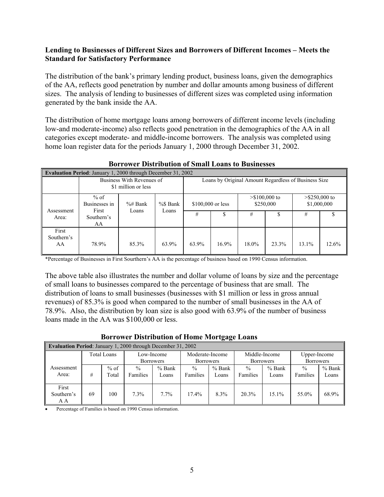### **Lending to Businesses of Different Sizes and Borrowers of Different Incomes – Meets the Standard for Satisfactory Performance**

The distribution of the bank's primary lending product, business loans, given the demographics of the AA, reflects good penetration by number and dollar amounts among business of different sizes. The analysis of lending to businesses of different sizes was completed using information generated by the bank inside the AA.

The distribution of home mortgage loans among borrowers of different income levels (including low-and moderate-income) also reflects good penetration in the demographics of the AA in all categories except moderate- and middle-income borrowers. The analysis was completed using home loan register data for the periods January 1, 2000 through December 31, 2002.

| <b>Evaluation Period:</b> January 1, 2000 through December 31, 2002 |                                                  |                                                      |                   |       |          |                              |                                 |          |       |
|---------------------------------------------------------------------|--------------------------------------------------|------------------------------------------------------|-------------------|-------|----------|------------------------------|---------------------------------|----------|-------|
|                                                                     | Business With Revenues of<br>\$1 million or less | Loans by Original Amount Regardless of Business Size |                   |       |          |                              |                                 |          |       |
| Assessment                                                          | % of<br>Businesses in<br>First                   | %\$ Bank<br>$\%$ # Bank                              | \$100,000 or less |       |          | $> $100,000$ to<br>\$250,000 | $>$ \$250,000 to<br>\$1,000,000 |          |       |
| Area:                                                               | Loans<br>Loans<br>Southern's<br>AA               |                                                      |                   | #     | \$       | #                            |                                 | #        |       |
| First<br>Southern's<br>AA                                           | 78.9%                                            | 85.3%                                                | 63.9%             | 63.9% | $16.9\%$ | 18.0%                        | 23.3%                           | $13.1\%$ | 12.6% |

### **Borrower Distribution of Small Loans to Businesses**

\*Percentage of Businesses in First Sourthern's AA is the percentage of business based on 1990 Census information.

The above table also illustrates the number and dollar volume of loans by size and the percentage of small loans to businesses compared to the percentage of business that are small. The distribution of loans to small businesses (businesses with \$1 million or less in gross annual revenues) of 85.3% is good when compared to the number of small businesses in the AA of 78.9%. Also, the distribution by loan size is also good with 63.9% of the number of business loans made in the AA was \$100,000 or less.

| <b>Borrower Distribution of Home Mortgage Loans</b>      |  |
|----------------------------------------------------------|--|
| <b>Period:</b> January 1, 2000 through December 31, 2002 |  |

| <b>Evaluation Period:</b> January 1, 2000 through December 31, 2002 |    |                           |                  |                 |                  |          |                  |              |                  |        |  |
|---------------------------------------------------------------------|----|---------------------------|------------------|-----------------|------------------|----------|------------------|--------------|------------------|--------|--|
|                                                                     |    | Total Loans<br>Low-Income |                  | Moderate-Income |                  |          | Middle-Income    | Upper-Income |                  |        |  |
|                                                                     |    |                           | <b>Borrowers</b> |                 | <b>Borrowers</b> |          | <b>Borrowers</b> |              | <b>Borrowers</b> |        |  |
| Assessment                                                          |    | $%$ of                    | $\%$             | $%$ Bank        | $\frac{0}{0}$    | $%$ Bank | $\frac{0}{0}$    | $%$ Bank     | $\frac{0}{0}$    | % Bank |  |
| Area:                                                               | #  | Total                     | Families         | Loans           | Families         | Loans    | Families         | Loans        | Families         | Loans  |  |
| First<br>Southern's<br>A A                                          | 69 | 100                       | 7.3%             | $7.7\%$         | $17.4\%$         | 8.3%     | 20.3%            | 15.1%        | 55.0%            | 68.9%  |  |

• Percentage of Families is based on 1990 Census information.